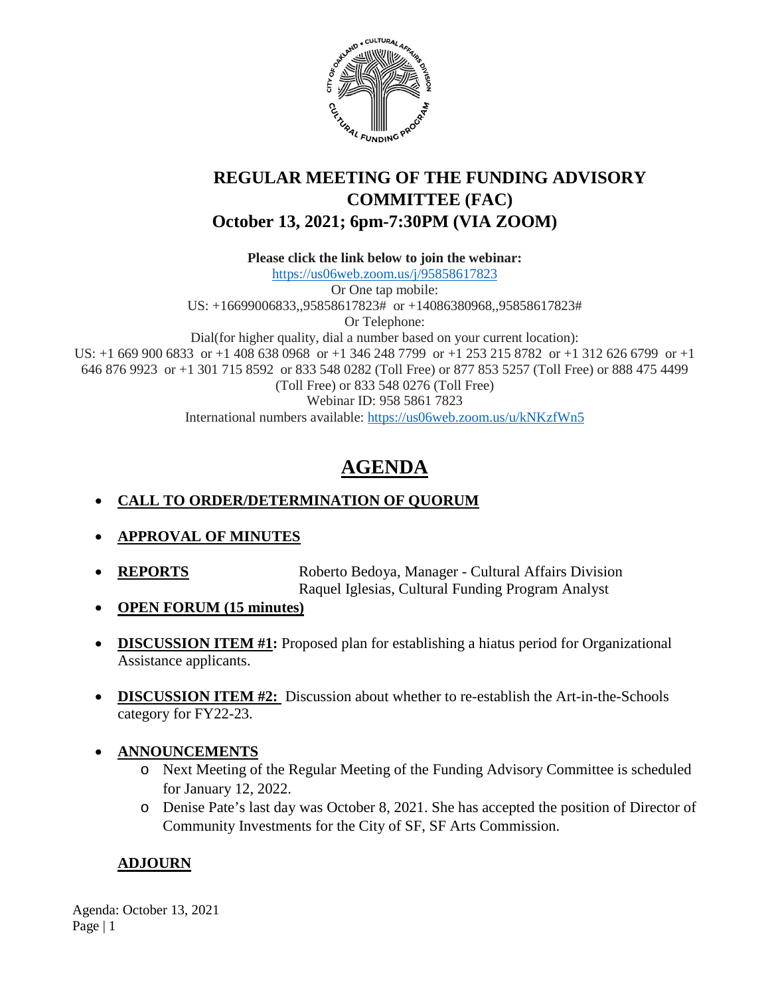

# **REGULAR MEETING OF THE FUNDING ADVISORY COMMITTEE (FAC) October 13, 2021; 6pm-7:30PM (VIA ZOOM)**

**Please click the link below to join the webinar:**

<https://us06web.zoom.us/j/95858617823> Or One tap mobile: US: +16699006833,,95858617823# or +14086380968,,95858617823# Or Telephone: Dial(for higher quality, dial a number based on your current location): US: +1 669 900 6833 or +1 408 638 0968 or +1 346 248 7799 or +1 253 215 8782 or +1 312 626 6799 or +1 646 876 9923 or +1 301 715 8592 or 833 548 0282 (Toll Free) or 877 853 5257 (Toll Free) or 888 475 4499 (Toll Free) or 833 548 0276 (Toll Free) Webinar ID: 958 5861 7823 International numbers available:<https://us06web.zoom.us/u/kNKzfWn5>

# **AGENDA**

# • **CALL TO ORDER/DETERMINATION OF QUORUM**

- **APPROVAL OF MINUTES**
- **REPORTS** Roberto Bedoya, Manager Cultural Affairs Division Raquel Iglesias, Cultural Funding Program Analyst
- **OPEN FORUM (15 minutes)**
- **DISCUSSION ITEM #1:** Proposed plan for establishing a hiatus period for Organizational Assistance applicants.
- **DISCUSSION ITEM #2:** Discussion about whether to re-establish the Art-in-the-Schools category for FY22-23.
- **ANNOUNCEMENTS**
	- o Next Meeting of the Regular Meeting of the Funding Advisory Committee is scheduled for January 12, 2022.
	- o Denise Pate's last day was October 8, 2021. She has accepted the position of Director of Community Investments for the City of SF, SF Arts Commission.

# **ADJOURN**

Agenda: October 13, 2021 Page | 1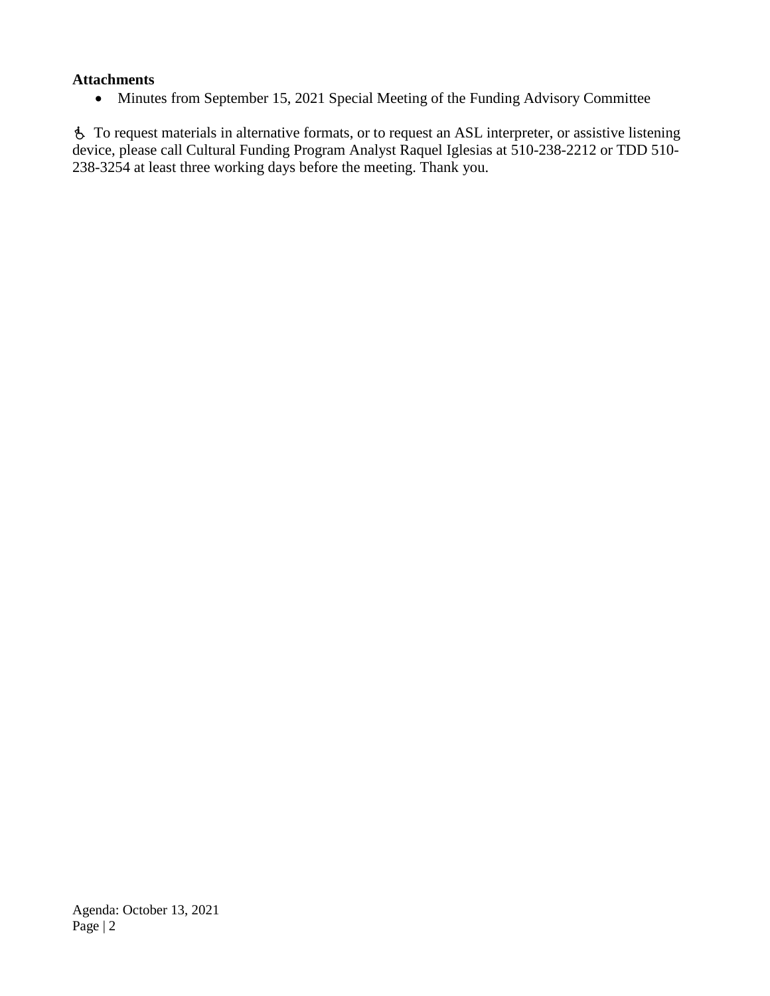#### **Attachments**

• Minutes from September 15, 2021 Special Meeting of the Funding Advisory Committee

 To request materials in alternative formats, or to request an ASL interpreter, or assistive listening device, please call Cultural Funding Program Analyst Raquel Iglesias at 510-238-2212 or TDD 510- 238-3254 at least three working days before the meeting. Thank you.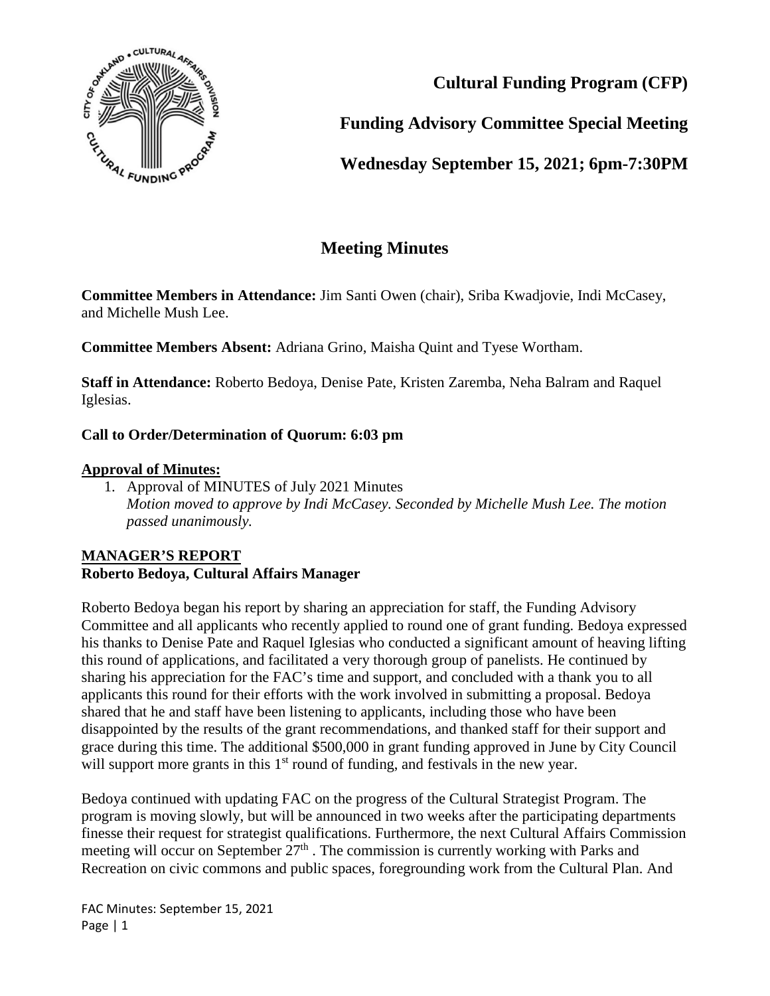

**Cultural Funding Program (CFP)**

**Funding Advisory Committee Special Meeting**

**Wednesday September 15, 2021; 6pm-7:30PM**

# **Meeting Minutes**

**Committee Members in Attendance:** Jim Santi Owen (chair), Sriba Kwadjovie, Indi McCasey, and Michelle Mush Lee.

**Committee Members Absent:** Adriana Grino, Maisha Quint and Tyese Wortham.

**Staff in Attendance:** Roberto Bedoya, Denise Pate, Kristen Zaremba, Neha Balram and Raquel Iglesias.

# **Call to Order/Determination of Quorum: 6:03 pm**

#### **Approval of Minutes:**

1. Approval of MINUTES of July 2021 Minutes *Motion moved to approve by Indi McCasey. Seconded by Michelle Mush Lee. The motion passed unanimously.*

## **MANAGER'S REPORT Roberto Bedoya, Cultural Affairs Manager**

Roberto Bedoya began his report by sharing an appreciation for staff, the Funding Advisory Committee and all applicants who recently applied to round one of grant funding. Bedoya expressed his thanks to Denise Pate and Raquel Iglesias who conducted a significant amount of heaving lifting this round of applications, and facilitated a very thorough group of panelists. He continued by sharing his appreciation for the FAC's time and support, and concluded with a thank you to all applicants this round for their efforts with the work involved in submitting a proposal. Bedoya shared that he and staff have been listening to applicants, including those who have been disappointed by the results of the grant recommendations, and thanked staff for their support and grace during this time. The additional \$500,000 in grant funding approved in June by City Council will support more grants in this  $1<sup>st</sup>$  round of funding, and festivals in the new year.

Bedoya continued with updating FAC on the progress of the Cultural Strategist Program. The program is moving slowly, but will be announced in two weeks after the participating departments finesse their request for strategist qualifications. Furthermore, the next Cultural Affairs Commission meeting will occur on September  $27<sup>th</sup>$ . The commission is currently working with Parks and Recreation on civic commons and public spaces, foregrounding work from the Cultural Plan. And

FAC Minutes: September 15, 2021 Page | 1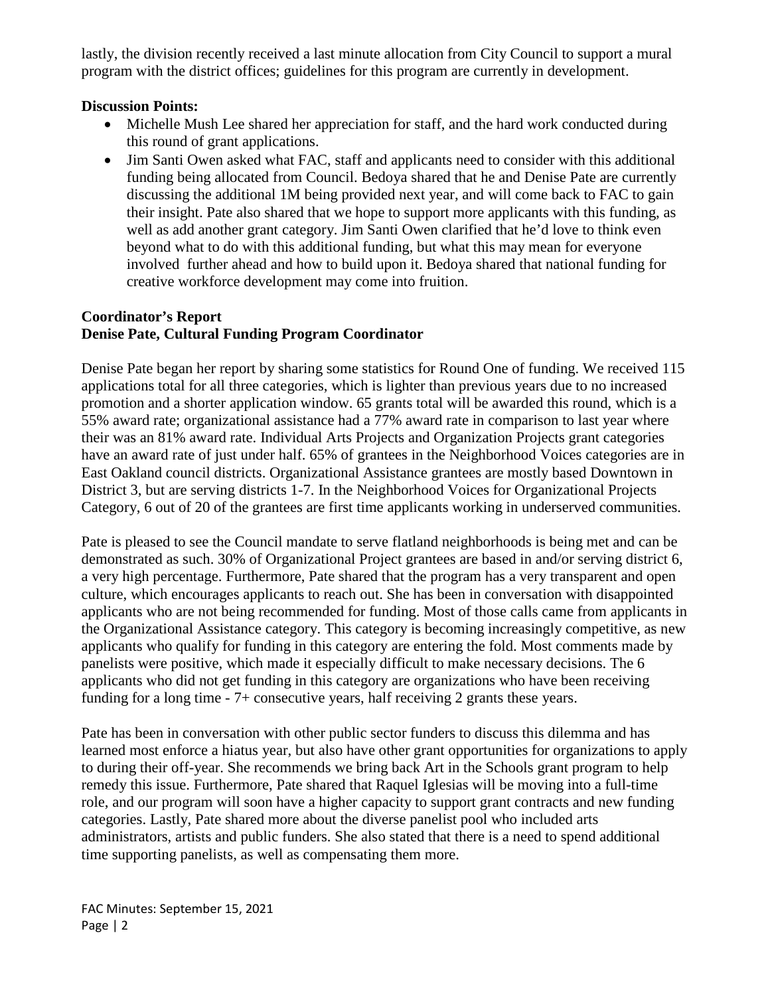lastly, the division recently received a last minute allocation from City Council to support a mural program with the district offices; guidelines for this program are currently in development.

#### **Discussion Points:**

- Michelle Mush Lee shared her appreciation for staff, and the hard work conducted during this round of grant applications.
- Jim Santi Owen asked what FAC, staff and applicants need to consider with this additional funding being allocated from Council. Bedoya shared that he and Denise Pate are currently discussing the additional 1M being provided next year, and will come back to FAC to gain their insight. Pate also shared that we hope to support more applicants with this funding, as well as add another grant category. Jim Santi Owen clarified that he'd love to think even beyond what to do with this additional funding, but what this may mean for everyone involved further ahead and how to build upon it. Bedoya shared that national funding for creative workforce development may come into fruition.

#### **Coordinator's Report Denise Pate, Cultural Funding Program Coordinator**

Denise Pate began her report by sharing some statistics for Round One of funding. We received 115 applications total for all three categories, which is lighter than previous years due to no increased promotion and a shorter application window. 65 grants total will be awarded this round, which is a 55% award rate; organizational assistance had a 77% award rate in comparison to last year where their was an 81% award rate. Individual Arts Projects and Organization Projects grant categories have an award rate of just under half. 65% of grantees in the Neighborhood Voices categories are in East Oakland council districts. Organizational Assistance grantees are mostly based Downtown in District 3, but are serving districts 1-7. In the Neighborhood Voices for Organizational Projects Category, 6 out of 20 of the grantees are first time applicants working in underserved communities.

Pate is pleased to see the Council mandate to serve flatland neighborhoods is being met and can be demonstrated as such. 30% of Organizational Project grantees are based in and/or serving district 6, a very high percentage. Furthermore, Pate shared that the program has a very transparent and open culture, which encourages applicants to reach out. She has been in conversation with disappointed applicants who are not being recommended for funding. Most of those calls came from applicants in the Organizational Assistance category. This category is becoming increasingly competitive, as new applicants who qualify for funding in this category are entering the fold. Most comments made by panelists were positive, which made it especially difficult to make necessary decisions. The 6 applicants who did not get funding in this category are organizations who have been receiving funding for a long time - 7+ consecutive years, half receiving 2 grants these years.

Pate has been in conversation with other public sector funders to discuss this dilemma and has learned most enforce a hiatus year, but also have other grant opportunities for organizations to apply to during their off-year. She recommends we bring back Art in the Schools grant program to help remedy this issue. Furthermore, Pate shared that Raquel Iglesias will be moving into a full-time role, and our program will soon have a higher capacity to support grant contracts and new funding categories. Lastly, Pate shared more about the diverse panelist pool who included arts administrators, artists and public funders. She also stated that there is a need to spend additional time supporting panelists, as well as compensating them more.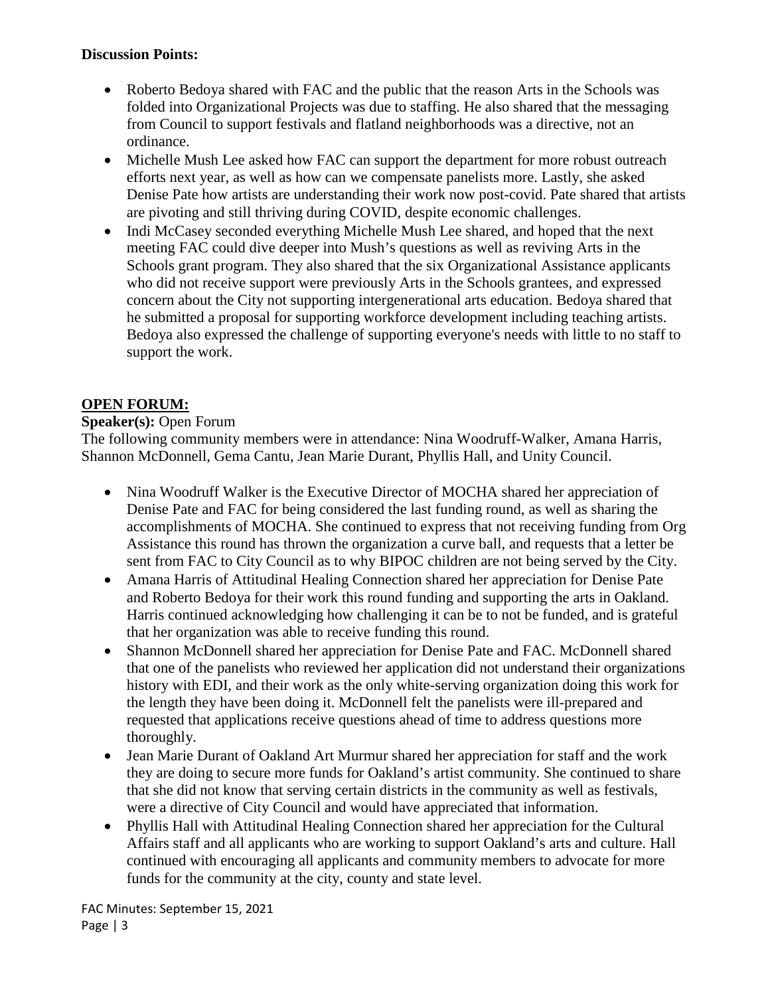### **Discussion Points:**

- Roberto Bedoya shared with FAC and the public that the reason Arts in the Schools was folded into Organizational Projects was due to staffing. He also shared that the messaging from Council to support festivals and flatland neighborhoods was a directive, not an ordinance.
- Michelle Mush Lee asked how FAC can support the department for more robust outreach efforts next year, as well as how can we compensate panelists more. Lastly, she asked Denise Pate how artists are understanding their work now post-covid. Pate shared that artists are pivoting and still thriving during COVID, despite economic challenges.
- Indi McCasey seconded everything Michelle Mush Lee shared, and hoped that the next meeting FAC could dive deeper into Mush's questions as well as reviving Arts in the Schools grant program. They also shared that the six Organizational Assistance applicants who did not receive support were previously Arts in the Schools grantees, and expressed concern about the City not supporting intergenerational arts education. Bedoya shared that he submitted a proposal for supporting workforce development including teaching artists. Bedoya also expressed the challenge of supporting everyone's needs with little to no staff to support the work.

# **OPEN FORUM:**

#### **Speaker(s):** Open Forum

The following community members were in attendance: Nina Woodruff-Walker, Amana Harris, Shannon McDonnell, Gema Cantu, Jean Marie Durant, Phyllis Hall, and Unity Council.

- Nina Woodruff Walker is the Executive Director of MOCHA shared her appreciation of Denise Pate and FAC for being considered the last funding round, as well as sharing the accomplishments of MOCHA. She continued to express that not receiving funding from Org Assistance this round has thrown the organization a curve ball, and requests that a letter be sent from FAC to City Council as to why BIPOC children are not being served by the City.
- Amana Harris of Attitudinal Healing Connection shared her appreciation for Denise Pate and Roberto Bedoya for their work this round funding and supporting the arts in Oakland. Harris continued acknowledging how challenging it can be to not be funded, and is grateful that her organization was able to receive funding this round.
- Shannon McDonnell shared her appreciation for Denise Pate and FAC. McDonnell shared that one of the panelists who reviewed her application did not understand their organizations history with EDI, and their work as the only white-serving organization doing this work for the length they have been doing it. McDonnell felt the panelists were ill-prepared and requested that applications receive questions ahead of time to address questions more thoroughly.
- Jean Marie Durant of Oakland Art Murmur shared her appreciation for staff and the work they are doing to secure more funds for Oakland's artist community. She continued to share that she did not know that serving certain districts in the community as well as festivals, were a directive of City Council and would have appreciated that information.
- Phyllis Hall with Attitudinal Healing Connection shared her appreciation for the Cultural Affairs staff and all applicants who are working to support Oakland's arts and culture. Hall continued with encouraging all applicants and community members to advocate for more funds for the community at the city, county and state level.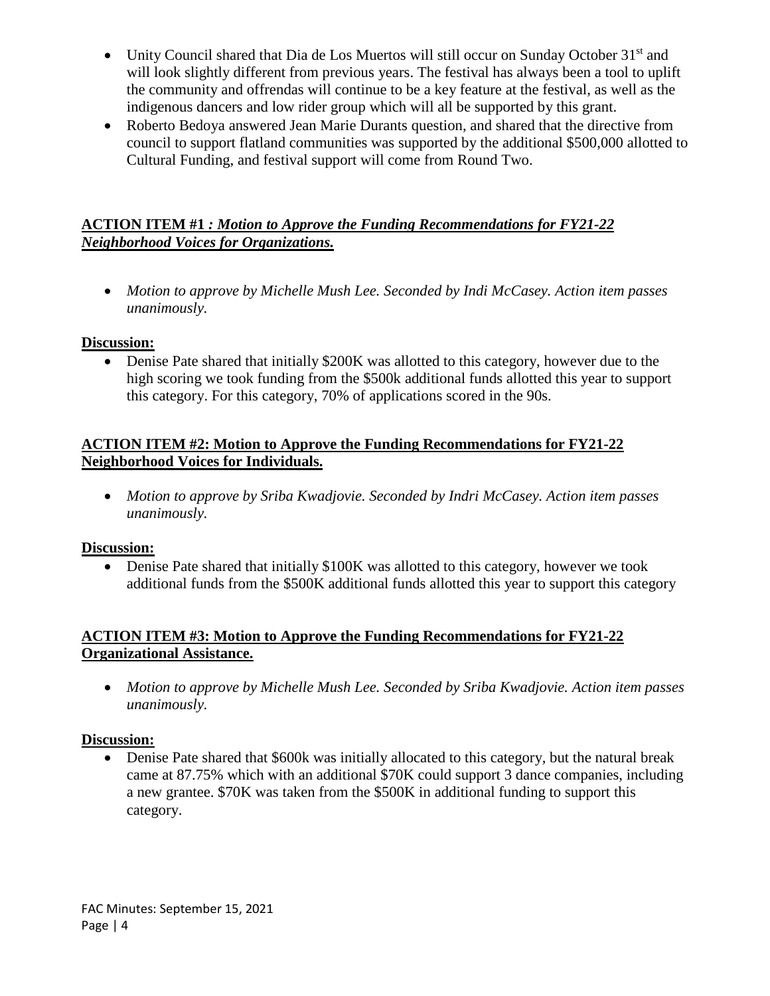- Unity Council shared that Dia de Los Muertos will still occur on Sunday October 31<sup>st</sup> and will look slightly different from previous years. The festival has always been a tool to uplift the community and offrendas will continue to be a key feature at the festival, as well as the indigenous dancers and low rider group which will all be supported by this grant.
- Roberto Bedoya answered Jean Marie Durants question, and shared that the directive from council to support flatland communities was supported by the additional \$500,000 allotted to Cultural Funding, and festival support will come from Round Two.

# **ACTION ITEM #1** *: Motion to Approve the Funding Recommendations for FY21-22 Neighborhood Voices for Organizations.*

• *Motion to approve by Michelle Mush Lee. Seconded by Indi McCasey. Action item passes unanimously.* 

#### **Discussion:**

• Denise Pate shared that initially \$200K was allotted to this category, however due to the high scoring we took funding from the \$500k additional funds allotted this year to support this category. For this category, 70% of applications scored in the 90s.

### **ACTION ITEM #2: Motion to Approve the Funding Recommendations for FY21-22 Neighborhood Voices for Individuals.**

• *Motion to approve by Sriba Kwadjovie. Seconded by Indri McCasey. Action item passes unanimously.* 

## **Discussion:**

• Denise Pate shared that initially \$100K was allotted to this category, however we took additional funds from the \$500K additional funds allotted this year to support this category

## **ACTION ITEM #3: Motion to Approve the Funding Recommendations for FY21-22 Organizational Assistance.**

• *Motion to approve by Michelle Mush Lee. Seconded by Sriba Kwadjovie. Action item passes unanimously.* 

#### **Discussion:**

• Denise Pate shared that \$600k was initially allocated to this category, but the natural break came at 87.75% which with an additional \$70K could support 3 dance companies, including a new grantee. \$70K was taken from the \$500K in additional funding to support this category.